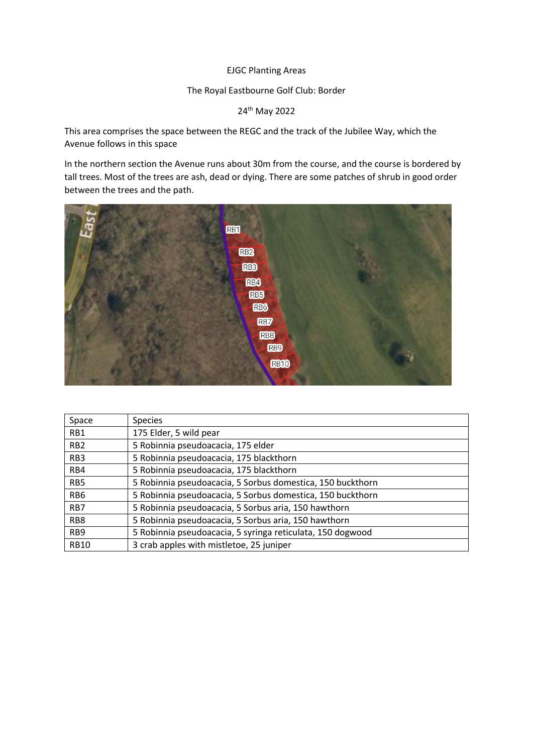## EJGC Planting Areas

## The Royal Eastbourne Golf Club: Border

24th May 2022

This area comprises the space between the REGC and the track of the Jubilee Way, which the Avenue follows in this space

In the northern section the Avenue runs about 30m from the course, and the course is bordered by tall trees. Most of the trees are ash, dead or dying. There are some patches of shrub in good order between the trees and the path.



| Space            | <b>Species</b>                                             |
|------------------|------------------------------------------------------------|
| RB1              | 175 Elder, 5 wild pear                                     |
| R <sub>B</sub> 2 | 5 Robinnia pseudoacacia, 175 elder                         |
| RB <sub>3</sub>  | 5 Robinnia pseudoacacia, 175 blackthorn                    |
| RB4              | 5 Robinnia pseudoacacia, 175 blackthorn                    |
| RB5              | 5 Robinnia pseudoacacia, 5 Sorbus domestica, 150 buckthorn |
| RB <sub>6</sub>  | 5 Robinnia pseudoacacia, 5 Sorbus domestica, 150 buckthorn |
| R <sub>B</sub> 7 | 5 Robinnia pseudoacacia, 5 Sorbus aria, 150 hawthorn       |
| RB <sub>8</sub>  | 5 Robinnia pseudoacacia, 5 Sorbus aria, 150 hawthorn       |
| RB <sub>9</sub>  | 5 Robinnia pseudoacacia, 5 syringa reticulata, 150 dogwood |
| <b>RB10</b>      | 3 crab apples with mistletoe, 25 juniper                   |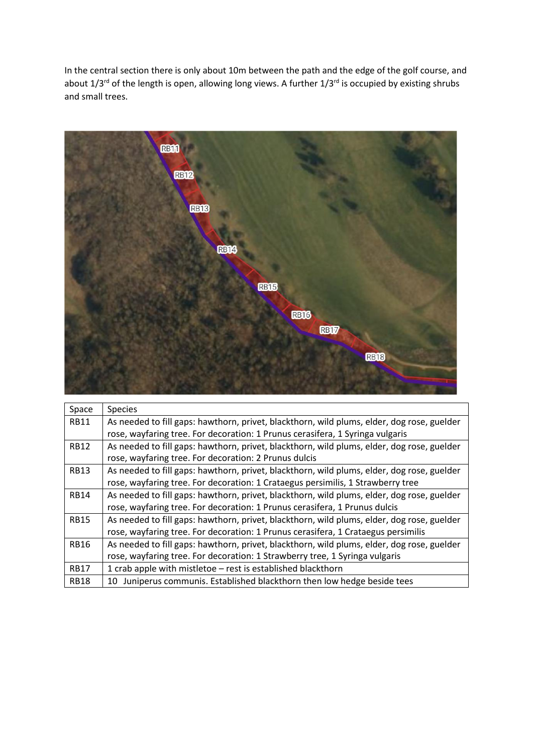In the central section there is only about 10m between the path and the edge of the golf course, and about 1/3<sup>rd</sup> of the length is open, allowing long views. A further 1/3<sup>rd</sup> is occupied by existing shrubs and small trees.



| Space       | <b>Species</b>                                                                             |
|-------------|--------------------------------------------------------------------------------------------|
| <b>RB11</b> | As needed to fill gaps: hawthorn, privet, blackthorn, wild plums, elder, dog rose, guelder |
|             | rose, wayfaring tree. For decoration: 1 Prunus cerasifera, 1 Syringa vulgaris              |
| <b>RB12</b> | As needed to fill gaps: hawthorn, privet, blackthorn, wild plums, elder, dog rose, guelder |
|             | rose, wayfaring tree. For decoration: 2 Prunus dulcis                                      |
| <b>RB13</b> | As needed to fill gaps: hawthorn, privet, blackthorn, wild plums, elder, dog rose, guelder |
|             | rose, wayfaring tree. For decoration: 1 Crataegus persimilis, 1 Strawberry tree            |
| <b>RB14</b> | As needed to fill gaps: hawthorn, privet, blackthorn, wild plums, elder, dog rose, guelder |
|             | rose, wayfaring tree. For decoration: 1 Prunus cerasifera, 1 Prunus dulcis                 |
| <b>RB15</b> | As needed to fill gaps: hawthorn, privet, blackthorn, wild plums, elder, dog rose, guelder |
|             | rose, wayfaring tree. For decoration: 1 Prunus cerasifera, 1 Crataegus persimilis          |
| <b>RB16</b> | As needed to fill gaps: hawthorn, privet, blackthorn, wild plums, elder, dog rose, guelder |
|             | rose, wayfaring tree. For decoration: 1 Strawberry tree, 1 Syringa vulgaris                |
| <b>RB17</b> | 1 crab apple with mistletoe - rest is established blackthorn                               |
| <b>RB18</b> | 10 Juniperus communis. Established blackthorn then low hedge beside tees                   |